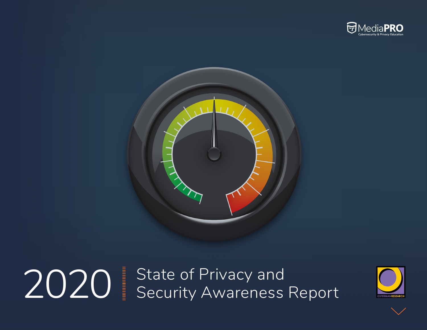



2020 State of Privacy and Security Awareness Report



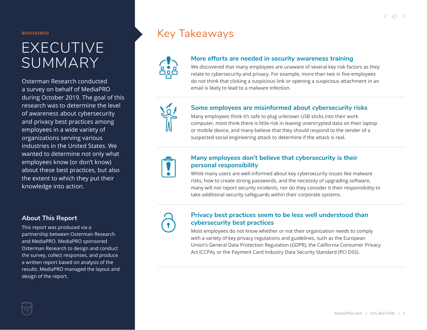1000000000

# EXECUTIVE SUMMARY

Osterman Research conducted a survey on behalf of MediaPRO during October 2019. The goal of this research was to determine the level of awareness about cybersecurity and privacy best practices among employees in a wide variety of organizations serving various industries in the United States. We wanted to determine not only what employees know (or don't know) about these best practices, but also the extent to which they put their knowledge into action.

#### **About This Report**

This report was produced via a partnership between Osterman Research and MediaPRO. MediaPRO sponsored Osterman Research to design and conduct the survey, collect responses, and produce a written report based on analysis of the results. MediaPRO managed the layout and design of the report.

### Key Takeaways



#### **More efforts are needed in security awareness training**

We discovered that many employees are unaware of several key risk factors as they relate to cybersecurity and privacy. For example, more than two in five employees do not think that clicking a suspicious link or opening a suspicious attachment in an email is likely to lead to a malware infection.



#### **Some employees are misinformed about cybersecurity risks**

Many employees think it's safe to plug unknown USB sticks into their work computer, most think there is little risk in leaving unencrypted data on their laptop or mobile device, and many believe that they should respond to the sender of a suspected social engineering attack to determine if the attack is real.



#### **Many employees don't believe that cybersecurity is their personal responsibility**

While many users are well-informed about key cybersecurity issues like malware risks, how to create strong passwords, and the necessity of upgrading software, many will not report security incidents, nor do they consider it their responsibility to take additional security safeguards within their corporate systems.



#### **Privacy best practices seem to be less well understood than cybersecurity best practices**

Most employees do not know whether or not their organization needs to comply with a variety of key privacy regulations and guidelines, such as the European Union's General Data Protection Regulation (GDPR), the California Consumer Privacy Act (CCPA), or the Payment Card Industry Data Security Standard (PCI DSS).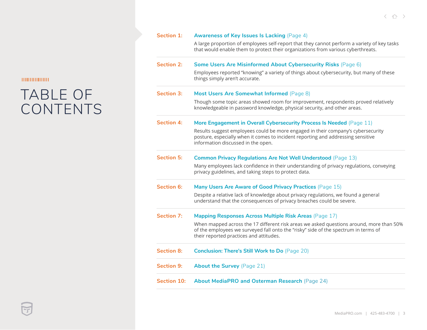# TABLE OF CONTENTS

| <b>Section 1:</b> | <b>Awareness of Key Issues Is Lacking (Page 4)</b><br>A large proportion of employees self-report that they cannot perform a variety of key tasks                                                                         |  |  |  |  |  |
|-------------------|---------------------------------------------------------------------------------------------------------------------------------------------------------------------------------------------------------------------------|--|--|--|--|--|
|                   | that would enable them to protect their organizations from various cyberthreats.                                                                                                                                          |  |  |  |  |  |
| <b>Section 2:</b> | Some Users Are Misinformed About Cybersecurity Risks (Page 6)                                                                                                                                                             |  |  |  |  |  |
|                   | Employees reported "knowing" a variety of things about cybersecurity, but many of these<br>things simply aren't accurate.                                                                                                 |  |  |  |  |  |
| <b>Section 3:</b> | Most Users Are Somewhat Informed (Page 8)                                                                                                                                                                                 |  |  |  |  |  |
|                   | Though some topic areas showed room for improvement, respondents proved relatively<br>knowledgeable in password knowledge, physical security, and other areas.                                                            |  |  |  |  |  |
| <b>Section 4:</b> | More Engagement in Overall Cybersecurity Process Is Needed (Page 11)                                                                                                                                                      |  |  |  |  |  |
|                   | Results suggest employees could be more engaged in their company's cybersecurity<br>posture, especially when it comes to incident reporting and addressing sensitive<br>information discussed in the open.                |  |  |  |  |  |
| <b>Section 5:</b> | <b>Common Privacy Regulations Are Not Well Understood (Page 13)</b>                                                                                                                                                       |  |  |  |  |  |
|                   | Many employees lack confidence in their understanding of privacy regulations, conveying<br>privacy guidelines, and taking steps to protect data.                                                                          |  |  |  |  |  |
| <b>Section 6:</b> | Many Users Are Aware of Good Privacy Practices (Page 15)                                                                                                                                                                  |  |  |  |  |  |
|                   | Despite a relative lack of knowledge about privacy regulations, we found a general<br>understand that the consequences of privacy breaches could be severe.                                                               |  |  |  |  |  |
| <b>Section 7:</b> | <b>Mapping Responses Across Multiple Risk Areas (Page 17)</b>                                                                                                                                                             |  |  |  |  |  |
|                   | When mapped across the 17 different risk areas we asked questions around, more than 50%<br>of the employees we surveyed fall onto the "risky" side of the spectrum in terms of<br>their reported practices and attitudes. |  |  |  |  |  |
| <b>Section 8:</b> | <b>Conclusion: There's Still Work to Do</b> (Page 20)                                                                                                                                                                     |  |  |  |  |  |
| <b>Section 9:</b> | <b>About the Survey (Page 21)</b>                                                                                                                                                                                         |  |  |  |  |  |
| Section 10:       | About MediaPRO and Osterman Research (Page 24)                                                                                                                                                                            |  |  |  |  |  |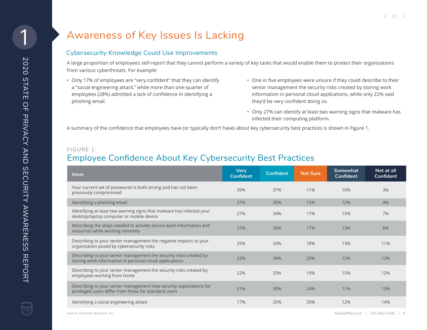### <span id="page-3-0"></span>Awareness of Key Issues Is Lacking

#### Cybersecurity Knowledge Could Use Improvements

A large proportion of employees self-report that they cannot perform a variety of key tasks that would enable them to protect their organizations from various cyberthreats. For example:

- Only 17% of employees are "very confident" that they can identify a "social engineering attack," while more than one-quarter of employees (28%) admitted a lack of confidence in identifying a phishing email.
- One in five employees were unsure if they could describe to their senior management the security risks created by storing work information in personal cloud applications, while only 22% said they'd be very confident doing so.
- Only 27% can identify at least two warning signs that malware has infected their computing platform.

A summary of the confidence that employees have (or typically don't have) about key cybersecurity best practices is shown in Figure 1.

#### FIGURE 1:

### Employee Confidence About Key Cybersecurity Best Practices

| <b>Issue</b>                                                                                                                  | <b>Very</b><br><b>Confident</b> | <b>Confident</b> | <b>Not Sure</b> | Somewhat<br>Confident | Not at all<br>Confident |
|-------------------------------------------------------------------------------------------------------------------------------|---------------------------------|------------------|-----------------|-----------------------|-------------------------|
| Your current set of passwords is both strong and has not been<br>previously compromised                                       | 39%                             | 37%              | 11%             | 10%                   | 3%                      |
| Identifying a phishing email                                                                                                  | 37%                             | 35%              | 12%             | 12%                   | 4%                      |
| Identifying at least two warning signs that malware has infected your<br>desktop/laptop computer or mobile device             | 27%                             | 34%              | 17%             | 15%                   | 7%                      |
| Describing the steps needed to actively secure work information and<br>resources while working remotely                       | 27%                             | 35%              | 17%             | 13%                   | 8%                      |
| Describing to your senior management the negative impacts to your<br>organization posed by cybersecurity risks                | 25%                             | 33%              | 18%             | 13%                   | 11%                     |
| Describing to your senior management the security risks created by<br>storing work information in personal cloud applications | 22%                             | 34%              | 20%             | 12%                   | 13%                     |
| Describing to your senior management the security risks created by<br>employees working from home                             | 22%                             | 33%              | 19%             | 15%                   | 12%                     |
| Describing to your senior management how security expectations for<br>privileged users differ from those for standard users   | 21%                             | 30%              | 24%             | 11%                   | 13%                     |
| Identifying a social engineering attack                                                                                       | 17%                             | 25%              | 33%             | 12%                   | 14%                     |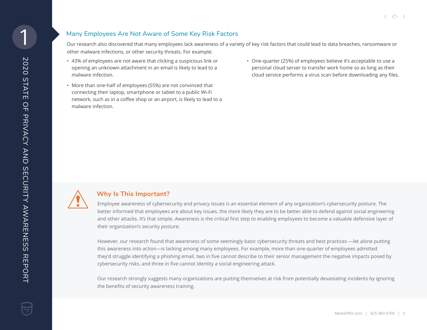#### Many Employees Are Not Aware of Some Key Risk Factors

Our research also discovered that many employees lack awareness of a variety of key risk factors that could lead to data breaches, ransomware or other malware infections, or other security threats. For example:

- 43% of employees are not aware that clicking a suspicious link or opening an unknown attachment in an email is likely to lead to a malware infection.
- More than one-half of employees (55%) are not convinced that connecting their laptop, smartphone or tablet to a public Wi-Fi network, such as in a coffee shop or an airport, is likely to lead to a malware infection.
- One-quarter (25%) of employees believe it's acceptable to use a personal cloud server to transfer work home so as long as their cloud service performs a virus scan before downloading any files.



#### **Why Is This Important?**

Employee awareness of cybersecurity and privacy issues is an essential element of any organization's cybersecurity posture. The better informed that employees are about key issues, the more likely they are to be better able to defend against social engineering and other attacks. It's that simple. Awareness is the critical first step to enabling employees to become a valuable defensive layer of their organization's security posture.

However, our research found that awareness of some seemingly basic cybersecurity threats and best practices —let alone putting this awareness into action—is lacking among many employees. For example, more than one-quarter of employees admitted they'd struggle identifying a phishing email, two in five cannot describe to their senior management the negative impacts posed by cybersecurity risks, and three in five cannot identity a social engineering attack.

Our research strongly suggests many organizations are putting themselves at risk from potentially devastating incidents by ignoring the benefits of security awareness training.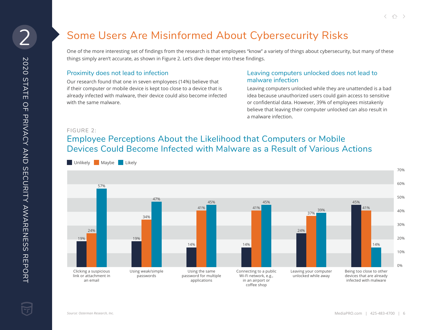### Some Users Are Misinformed About Cybersecurity Risks

One of the more interesting set of findings from the research is that employees "know" a variety of things about cybersecurity, but many of these things simply aren't accurate, as shown in Figure 2. Let's dive deeper into these findings.

#### Proximity does not lead to infection

Our research found that one in seven employees (14%) believe that if their computer or mobile device is kept too close to a device that is already infected with malware, their device could also become infected with the same malware.

#### Leaving computers unlocked does not lead to malware infection

Leaving computers unlocked while they are unattended is a bad idea because unauthorized users could gain access to sensitive or confidential data. However, 39% of employees mistakenly believe that leaving their computer unlocked can also result in a malware infection.

#### FIGURE 2:

### Employee Perceptions About the Likelihood that Computers or Mobile Devices Could Become Infected with Malware as a Result of Various Actions

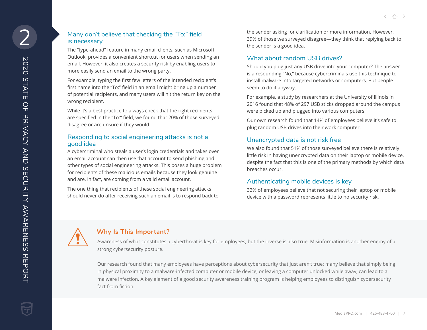#### Many don't believe that checking the "To:" field is necessary

The "type-ahead" feature in many email clients, such as Microsoft Outlook, provides a convenient shortcut for users when sending an email. However, it also creates a security risk by enabling users to more easily send an email to the wrong party.

For example, typing the first few letters of the intended recipient's first name into the "To:" field in an email might bring up a number of potential recipients, and many users will hit the return key on the wrong recipient.

While it's a best practice to always check that the right recipients are specified in the "To:" field, we found that 20% of those surveyed disagree or are unsure if they would.

#### Responding to social engineering attacks is not a good idea

A cybercriminal who steals a user's login credentials and takes over an email account can then use that account to send phishing and other types of social engineering attacks. This poses a huge problem for recipients of these malicious emails because they look genuine and are, in fact, are coming from a valid email account.

The one thing that recipients of these social engineering attacks should never do after receiving such an email is to respond back to the sender asking for clarification or more information. However, 39% of those we surveyed disagree—they think that replying back to the sender is a good idea.

#### What about random USB drives?

Should you plug just any USB drive into your computer? The answer is a resounding "No," because cybercriminals use this technique to install malware into targeted networks or computers. But people seem to do it anyway.

For example, a study by researchers at the University of Illinois in 2016 found that 48% of 297 USB sticks dropped around the campus were picked up and plugged into various computers.

Our own research found that 14% of employees believe it's safe to plug random USB drives into their work computer.

#### Unencrypted data is not risk free

We also found that 51% of those surveyed believe there is relatively little risk in having unencrypted data on their laptop or mobile device, despite the fact that this is one of the primary methods by which data breaches occur.

#### Authenticating mobile devices is key

32% of employees believe that not securing their laptop or mobile device with a password represents little to no security risk.



#### **Why Is This Important?**

Awareness of what constitutes a cyberthreat is key for employees, but the inverse is also true. Misinformation is another enemy of a strong cybersecurity posture.

Our research found that many employees have perceptions about cybersecurity that just aren't true: many believe that simply being in physical proximity to a malware-infected computer or mobile device, or leaving a computer unlocked while away, can lead to a malware infection. A key element of a good security awareness training program is helping employees to distinguish cybersecurity fact from fiction.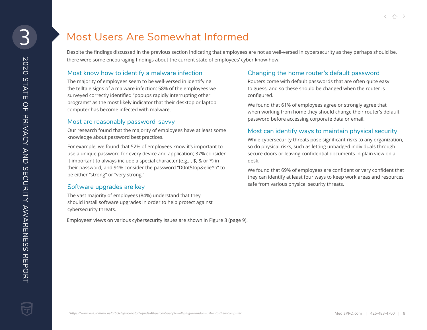### Most Users Are Somewhat Informed

Despite the findings discussed in the previous section indicating that employees are not as well-versed in cybersecurity as they perhaps should be, there were some encouraging findings about the current state of employees' cyber know-how:

#### Most know how to identify a malware infection

The majority of employees seem to be well-versed in identifying the telltale signs of a malware infection: 58% of the employees we surveyed correctly identified "popups rapidly interrupting other programs" as the most likely indicator that their desktop or laptop computer has become infected with malware.

#### Most are reasonably password-savvy

Our research found that the majority of employees have at least some knowledge about password best practices.

For example, we found that 52% of employees know it's important to use a unique password for every device and application; 37% consider it important to always include a special character (e.g., , \$, & or \*) in their password; and 91% consider the password "D0nt5top&elie^n" to be either "strong" or "very strong."

#### Software upgrades are key

The vast majority of employees (84%) understand that they should install software upgrades in order to help protect against cybersecurity threats.

Employees' views on various cybersecurity issues are shown in Figure 3 (page 9).

#### Changing the home router's default password

Routers come with default passwords that are often quite easy to guess, and so these should be changed when the router is configured.

We found that 61% of employees agree or strongly agree that when working from home they should change their router's default password before accessing corporate data or email.

#### Most can identify ways to maintain physical security

While cybersecurity threats pose significant risks to any organization, so do physical risks, such as letting unbadged individuals through secure doors or leaving confidential documents in plain view on a desk.

We found that 69% of employees are confident or very confident that they can identify at least four ways to keep work areas and resources safe from various physical security threats.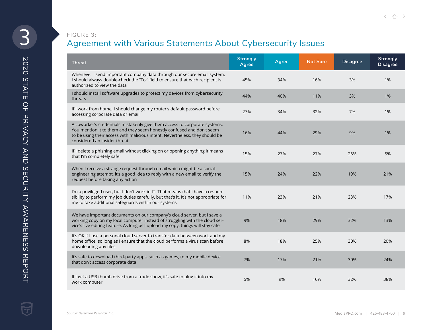#### FIGURE 3:

### Agreement with Various Statements About Cybersecurity Issues

| <b>Threat</b>                                                                                                                                                                                                                                                       | <b>Strongly</b><br><b>Agree</b> | <b>Agree</b> | <b>Not Sure</b> | <b>Disagree</b> | <b>Strongly</b><br><b>Disagree</b> |
|---------------------------------------------------------------------------------------------------------------------------------------------------------------------------------------------------------------------------------------------------------------------|---------------------------------|--------------|-----------------|-----------------|------------------------------------|
| Whenever I send important company data through our secure email system,<br>I should always double-check the "To:" field to ensure that each recipient is<br>authorized to view the data                                                                             | 45%                             | 34%          | 16%             | 3%              | 1%                                 |
| I should install software upgrades to protect my devices from cybersecurity<br>threats                                                                                                                                                                              | 44%                             | 40%          | 11%             | 3%              | 1%                                 |
| If I work from home, I should change my router's default password before<br>accessing corporate data or email                                                                                                                                                       | 27%                             | 34%          | 32%             | 7%              | 1%                                 |
| A coworker's credentials mistakenly give them access to corporate systems.<br>You mention it to them and they seem honestly confused and don't seem<br>to be using their access with malicious intent. Nevertheless, they should be<br>considered an insider threat | 16%                             | 44%          | 29%             | 9%              | 1%                                 |
| If I delete a phishing email without clicking on or opening anything it means<br>that I'm completely safe                                                                                                                                                           | 15%                             | 27%          | 27%             | 26%             | 5%                                 |
| When I receive a strange request through email which might be a social-<br>engineering attempt, it's a good idea to reply with a new email to verify the<br>request before taking any action                                                                        | 15%                             | 24%          | 22%             | 19%             | 21%                                |
| I'm a privileged user, but I don't work in IT. That means that I have a respon-<br>sibility to perform my job duties carefully, but that's it. It's not appropriate for<br>me to take additional safeguards within our systems                                      | 11%                             | 23%          | 21%             | 28%             | 17%                                |
| We have important documents on our company's cloud server, but I save a<br>working copy on my local computer instead of struggling with the cloud ser-<br>vice's live editing feature. As long as I upload my copy, things will stay safe                           | 9%                              | 18%          | 29%             | 32%             | 13%                                |
| It's OK if I use a personal cloud server to transfer data between work and my<br>home office, so long as I ensure that the cloud performs a virus scan before<br>downloading any files                                                                              | 8%                              | 18%          | 25%             | 30%             | 20%                                |
| It's safe to download third-party apps, such as games, to my mobile device<br>that don't access corporate data                                                                                                                                                      | 7%                              | 17%          | 21%             | 30%             | 24%                                |
| If I get a USB thumb drive from a trade show, it's safe to plug it into my<br>work computer                                                                                                                                                                         | 5%                              | 9%           | 16%             | 32%             | 38%                                |

2020 STATE OF PRIVACY AND SECURITY AWARENESS REPORT

**2020 STATE OF PRIVACY AWARENESS REPORT** 

3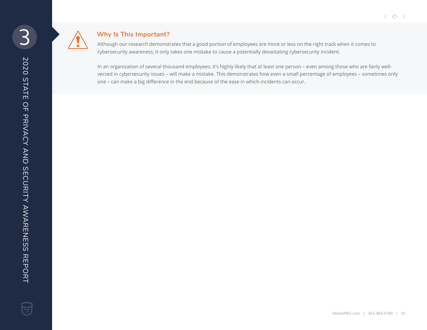

#### **Why Is This Important?**

Although our research demonstrates that a good portion of employees are more or less on the right track when it comes to cybersecurity awareness, it only takes one mistake to cause a potentially devastating cybersecurity incident.

In an organization of several thousand employees, it's highly likely that at least one person – even among those who are fairly wellversed in cybersecurity issues – will make a mistake. This demonstrates how even a small percentage of employees – sometimes only one – can make a big difference in the end because of the ease in which incidents can occur.

< △ →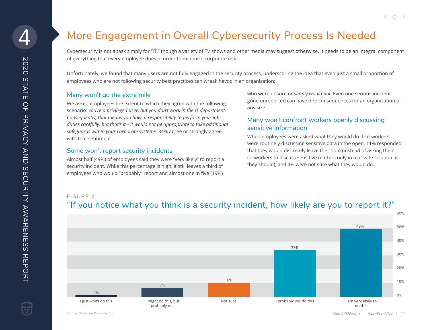## More Engagement in Overall Cybersecurity Process Is Needed

Cybersecurity is not a task simply for "IT," though a variety of TV shows and other media may suggest otherwise. It needs to be an integral component of everything that every employee does in order to minimize corporate risk.

Unfortunately, we found that many users are not fully engaged in the security process, underscoring the idea that even just a small proportion of employees who are not following security best practices can wreak havoc in an organization:

#### Many won't go the extra mile

We asked employees the extent to which they agree with the following scenario: *you're a privileged user, but you don't work in the IT department. Consequently, that means you have a responsibility to perform your job duties carefully, but that's it—it would not be appropriate to take additional safeguards within your corporate systems.* 34% agree or strongly agree with that sentiment.

#### Some won't report security incidents

Almost half (49%) of employees said they were "very likely" to report a security incident. While this percentage is high, it still leaves a third of employees who would "probably" report and almost one in five (19%)

who were unsure or *simply would not.* Even one serious incident gone unreported can have dire consequences for an organization of any size.

#### Many won't confront workers openly discussing sensitive information

When employees were asked what they would do if co-workers were routinely discussing sensitive data in the open, 11% responded that they would discretely leave the room (instead of asking their co-workers to discuss sensitive matters only in a private location as they should), and 4% were not sure what they would do.

#### FIGURE 4:





*Source: Osterman Research, Inc.*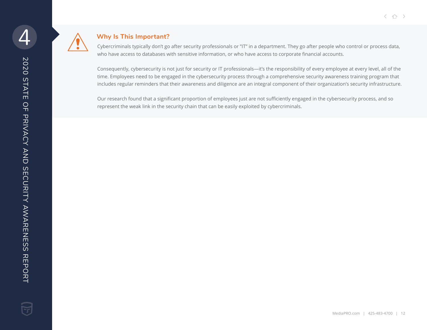

#### **Why Is This Important?**

Cybercriminals typically don't go after security professionals or "IT" in a department. They go after people who control or process data, who have access to databases with sensitive information, or who have access to corporate financial accounts.

Consequently, cybersecurity is not just for security or IT professionals—it's the responsibility of every employee at every level, all of the time. Employees need to be engaged in the cybersecurity process through a comprehensive security awareness training program that includes regular reminders that their awareness and diligence are an integral component of their organization's security infrastructure.

Our research found that a significant proportion of employees just are not sufficiently engaged in the cybersecurity process, and so represent the weak link in the security chain that can be easily exploited by cybercriminals.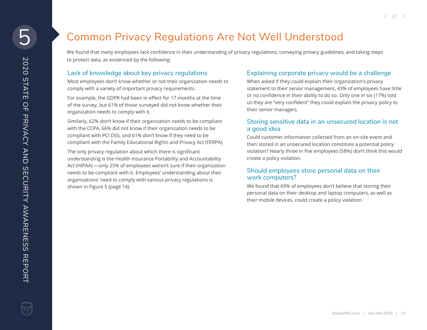We found that many employees lack confidence in their understanding of privacy regulations, conveying privacy guidelines, and taking steps to protect data, as evidenced by the following:

#### Lack of knowledge about key privacy regulations

Most employees don't know whether or not their organization needs to comply with a variety of important privacy requirements.

For example, the GDPR had been in effect for 17 months at the time of the survey, but 61% of those surveyed did not know whether their organization needs to comply with it.

Similarly, 62% don't know if their organization needs to be compliant with the CCPA, 66% did not know if their organization needs to be compliant with PCI DSS, and 61% don't know if they need to be compliant with the Family Educational Rights and Privacy Act (FERPA).

The only privacy regulation about which there is significant understanding is the Health Insurance Portability and Accountability Act (HIPAA) —only 25% of employees weren't sure if their organization needs to be compliant with it. Employees' understanding about their organizations' need to comply with various privacy regulations is shown in Figure 5 (page 14).

#### Explaining corporate privacy would be a challenge

When asked if they could explain their organization's privacy statement to their senior management, 43% of employees have little or no confidence in their ability to do so. Only one in six (17%) told us they are "very confident" they could explain the privacy policy to their senior managers.

#### Storing sensitive data in an unsecured location is not a good idea

Could customer information collected from an on-site event and then stored in an unsecured location constitute a potential policy violation? Nearly three in five employees (58%) don't think this would create a policy violation.

#### Should employees store personal data on their work computers?

We found that 69% of employees don't believe that storing their personal data on their desktop and laptop computers, as well as their mobile devices, could create a policy violation.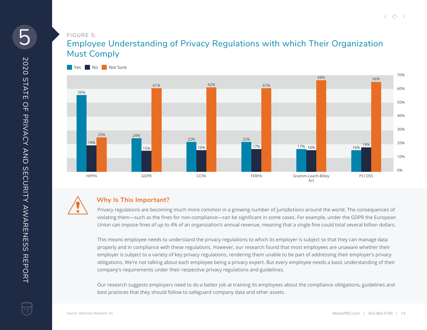#### FIGURE 5:

### Employee Understanding of Privacy Regulations with which Their Organization Must Comply





#### **Why Is This Important?**

Privacy regulations are becoming much more common in a growing number of jurisdictions around the world. The consequences of violating them—such as the fines for non-compliance—can be significant in some cases. For example, under the GDPR the European Union can impose fines of up to 4% of an organization's annual revenue, meaning that a single fine could total several billion dollars.

This means employee needs to understand the privacy regulations to which its employer is subject so that they can manage data properly and in compliance with these regulations. However, our research found that most employees are unaware whether their employer is subject to a variety of key privacy regulations, rendering them unable to be part of addressing their employer's privacy obligations. We're not talking about each employee being a privacy expert. But every employee needs a basic understanding of their company's requirements under their respective privacy regulations and guidelines.

Our research suggests employers need to do a better job at training its employees about the compliance obligations, guidelines and best practices that they should follow to safeguard company data and other assets.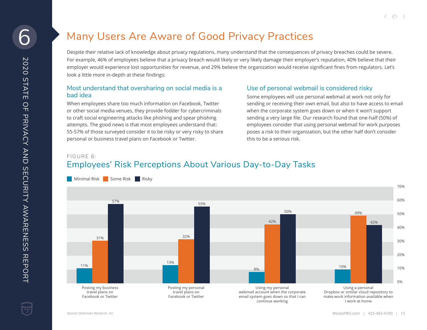### Many Users Are Aware of Good Privacy Practices

Despite their relative lack of knowledge about privacy regulations, many understand that the consequences of privacy breaches could be severe. For example, 46% of employees believe that a privacy breach would likely or very likely damage their employer's reputation, 40% believe that their employer would experience lost opportunities for revenue, and 29% believe the organization would receive significant fines from regulators. Let's look a little more in-depth at these findings:

#### Most understand that oversharing on social media is a bad idea

When employees share too much information on Facebook, Twitter or other social media venues, they provide fodder for cybercriminals to craft social engineering attacks like phishing and spear phishing attempts. The good news is that most employees understand that: 55-57% of those surveyed consider it to be risky or very risky to share personal or business travel plans on Facebook or Twitter.

#### Use of personal webmail is considered risky

Some employees will use personal webmail at work not only for sending or receiving their own email, but also to have access to email when the corporate system goes down or when it won't support sending a very large file. Our research found that one-half (50%) of employees consider that using personal webmail for work purposes poses a risk to their organization, but the other half don't consider this to be a serious risk.

FIGURE 6:

### Employees' Risk Perceptions About Various Day-to-Day Tasks

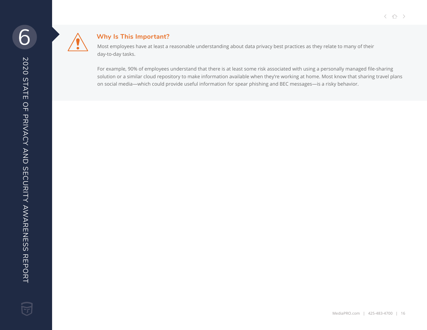

#### **Why Is This Important?**

Most employees have at least a reasonable understanding about data privacy best practices as they relate to many of their day-to-day tasks.

For example, 90% of employees understand that there is at least some risk associated with using a personally managed file-sharing solution or a similar cloud repository to make information available when they're working at home. Most know that sharing travel plans on social media—which could provide useful information for spear phishing and BEC messages—is a risky behavior.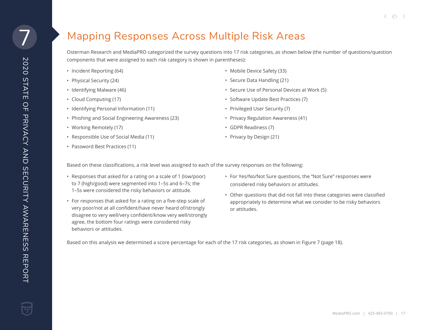### Mapping Responses Across Multiple Risk Areas

Osterman Research and MediaPRO categorized the survey questions into 17 risk categories, as shown below (the number of questions/question components that were assigned to each risk category is shown in parentheses):

- Incident Reporting (64)
- Physical Security (24)
- Identifying Malware (46)
- Cloud Computing (17)
- Identifying Personal Information (11)
- Phishing and Social Engineering Awareness (23)
- Working Remotely (17)
- Responsible Use of Social Media (11)
- Password Best Practices (11)
- Mobile Device Safety (33)
- Secure Data Handling (21)
- Secure Use of Personal Devices at Work (5)
- Software Update Best Practices (7)
- Privileged User Security (7)
- Privacy Regulation Awareness (41)
- GDPR Readiness (7)
- Privacy by Design (21)

Based on these classifications, a risk level was assigned to each of the survey responses on the following:

- Responses that asked for a rating on a scale of 1 (low/poor) to 7 (high/good) were segmented into 1–5s and 6–7s; the 1–5s were considered the risky behaviors or attitude.
- For responses that asked for a rating on a five-step scale of very poor/not at all confident/have never heard of/strongly disagree to very well/very confident/know very well/strongly agree, the bottom four ratings were considered risky behaviors or attitudes.
- For Yes/No/Not Sure questions, the "Not Sure" responses were considered risky behaviors or attitudes.
- Other questions that did not fall into these categories were classified appropriately to determine what we consider to be risky behaviors or attitudes.

Based on this analysis we determined a score percentage for each of the 17 risk categories, as shown in Figure 7 (page 18).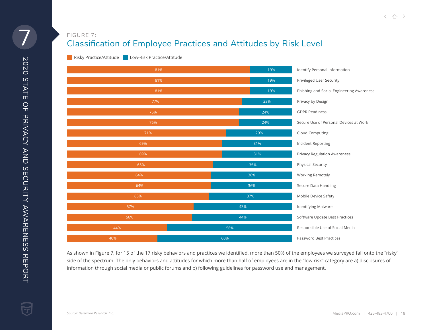### Classification of Employee Practices and Attitudes by Risk Level FIGURE 7:

**Risky Practice/Attitude** Low-Risk Practice/Attitude



As shown in Figure 7, for 15 of the 17 risky behaviors and practices we identified, more than 50% of the employees we surveyed fall onto the "risky" side of the spectrum. The only behaviors and attitudes for which more than half of employees are in the "low risk" category are a) disclosures of information through social media or public forums and b) following guidelines for password use and management.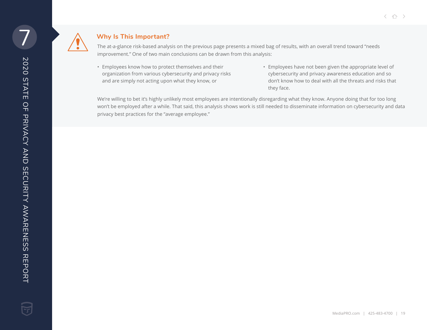

#### **Why Is This Important?**

The at-a-glance risk-based analysis on the previous page presents a mixed bag of results, with an overall trend toward "needs improvement." One of two main conclusions can be drawn from this analysis:

- Employees know how to protect themselves and their organization from various cybersecurity and privacy risks and are simply not acting upon what they know, or
- Employees have not been given the appropriate level of cybersecurity and privacy awareness education and so don't know how to deal with all the threats and risks that they face.

We're willing to bet it's highly unlikely most employees are intentionally disregarding what they know. Anyone doing that for too long won't be employed after a while. That said, this analysis shows work is still needed to disseminate information on cybersecurity and data privacy best practices for the "average employee."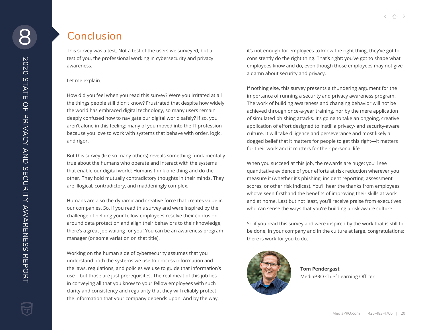### **Conclusion**

This survey was a test. Not a test of the users we surveyed, but a test of you, the professional working in cybersecurity and privacy awareness.

#### Let me explain.

How did you feel when you read this survey? Were you irritated at all the things people still didn't know? Frustrated that despite how widely the world has embraced digital technology, so many users remain deeply confused how to navigate our digital world safely? If so, you aren't alone in this feeling: many of you moved into the IT profession because you love to work with systems that behave with order, logic, and rigor.

But this survey (like so many others) reveals something fundamentally true about the humans who operate and interact with the systems that enable our digital world: Humans think one thing and do the other. They hold mutually contradictory thoughts in their minds. They are illogical, contradictory, and maddeningly complex.

Humans are also the dynamic and creative force that creates value in our companies. So, if you read this survey and were inspired by the challenge of helping your fellow employees resolve their confusion around data protection and align their behaviors to their knowledge, there's a great job waiting for you! You can be an awareness program manager (or some variation on that title).

Working on the human side of cybersecurity assumes that you understand both the systems we use to process information and the laws, regulations, and policies we use to guide that information's use—but those are just prerequisites. The real meat of this job lies in conveying all that you know to your fellow employees with such clarity and consistency and regularity that they will reliably protect the information that your company depends upon. And by the way,

it's not enough for employees to know the right thing, they've got to consistently do the right thing. That's right: you've got to shape what employees know and do, even though those employees may not give a damn about security and privacy.

If nothing else, this survey presents a thundering argument for the importance of running a security and privacy awareness program. The work of building awareness and changing behavior will not be achieved through once-a-year training, nor by the mere application of simulated phishing attacks. It's going to take an ongoing, creative application of effort designed to instill a privacy- and security-aware culture. It will take diligence and perseverance and most likely a dogged belief that it matters for people to get this right—it matters for their work and it matters for their personal life.

When you succeed at this job, the rewards are huge: you'll see quantitative evidence of your efforts at risk reduction wherever you measure it (whether it's phishing, incident reporting, assessment scores, or other risk indices). You'll hear the thanks from employees who've seen firsthand the benefits of improving their skills at work and at home. Last but not least, you'll receive praise from executives who can sense the ways that you're building a risk-aware culture.

So if you read this survey and were inspired by the work that is still to be done, in your company and in the culture at large, congratulations: there is work for you to do.



**Tom Pendergast** MediaPRO Chief Learning Officer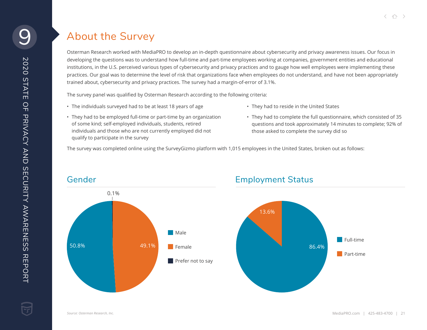### About the Survey

Osterman Research worked with MediaPRO to develop an in-depth questionnaire about cybersecurity and privacy awareness issues. Our focus in developing the questions was to understand how full-time and part-time employees working at companies, government entities and educational institutions, in the U.S. perceived various types of cybersecurity and privacy practices and to gauge how well employees were implementing these practices. Our goal was to determine the level of risk that organizations face when employees do not understand, and have not been appropriately trained about, cybersecurity and privacy practices. The survey had a margin-of-error of 3.1%.

The survey panel was qualified by Osterman Research according to the following criteria:

• The individuals surveyed had to be at least 18 years of age

- They had to reside in the United States
- They had to be employed full-time or part-time by an organization of some kind; self-employed individuals, students, retired individuals and those who are not currently employed did not qualify to participate in the survey
- They had to complete the full questionnaire, which consisted of 35 questions and took approximately 14 minutes to complete; 92% of those asked to complete the survey did so

The survey was completed online using the SurveyGizmo platform with 1,015 employees in the United States, broken out as follows:

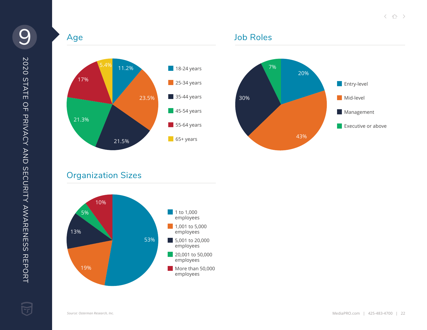

### Job Roles



### Organization Sizes



Y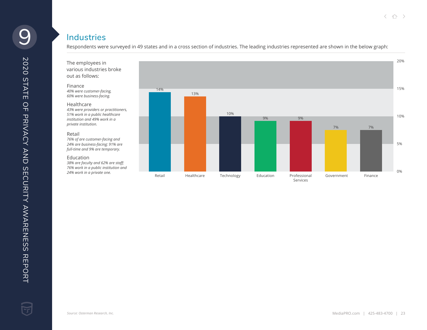### **Industries**

Respondents were surveyed in 49 states and in a cross section of industries. The leading industries represented are shown in the below graph:

The employees in various industries broke out as follows:

#### Finance

*40% were customer-facing, 60% were business-facing.*

#### Healthcare

*43% were providers or practitioners, 51% work in a public healthcare institution and 49% work in a private institution.*

#### Retail

*76% of are customer-facing and 24% are business-facing; 91% are full-time and 9% are temporary.*

#### Education

*38% are faculty and 62% are staff; 76% work in a public institution and 24% work in a private one.*